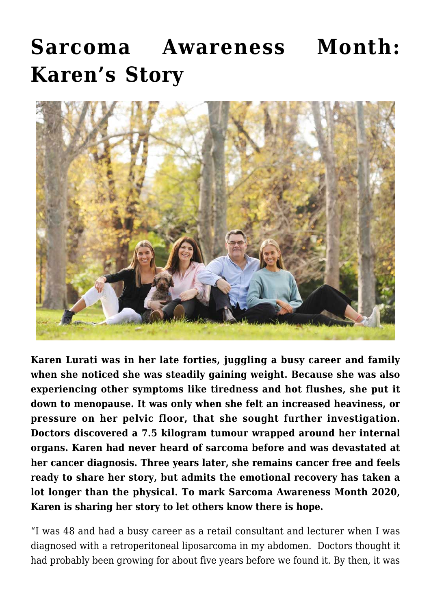## **[Sarcoma Awareness Month:](https://stabiopharma.com/sarcoma-awareness-month-karens-story/) [Karen's Story](https://stabiopharma.com/sarcoma-awareness-month-karens-story/)**



**Karen Lurati was in her late forties, juggling a busy career and family when she noticed she was steadily gaining weight. Because she was also experiencing other symptoms like tiredness and hot flushes, she put it down to menopause. It was only when she felt an increased heaviness, or pressure on her pelvic floor, that she sought further investigation. Doctors discovered a 7.5 kilogram tumour wrapped around her internal organs. Karen had never heard of sarcoma before and was devastated at her cancer diagnosis. Three years later, she remains cancer free and feels ready to share her story, but admits the emotional recovery has taken a lot longer than the physical. To mark Sarcoma Awareness Month 2020, Karen is sharing her story to let others know there is hope.**

"I was 48 and had a busy career as a retail consultant and lecturer when I was diagnosed with a retroperitoneal liposarcoma in my abdomen. Doctors thought it had probably been growing for about five years before we found it. By then, it was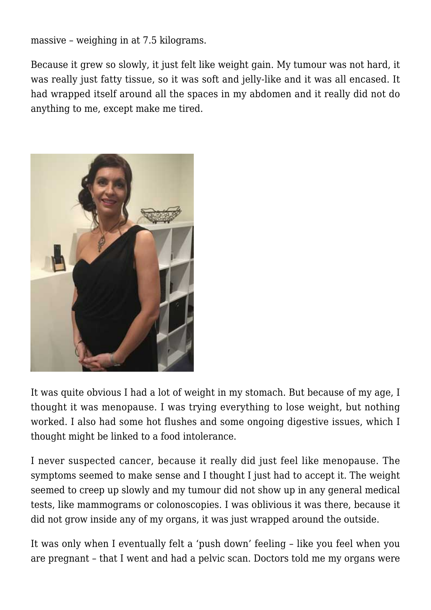massive – weighing in at 7.5 kilograms.

Because it grew so slowly, it just felt like weight gain. My tumour was not hard, it was really just fatty tissue, so it was soft and jelly-like and it was all encased. It had wrapped itself around all the spaces in my abdomen and it really did not do anything to me, except make me tired.



It was quite obvious I had a lot of weight in my stomach. But because of my age, I thought it was menopause. I was trying everything to lose weight, but nothing worked. I also had some hot flushes and some ongoing digestive issues, which I thought might be linked to a food intolerance.

I never suspected cancer, because it really did just feel like menopause. The symptoms seemed to make sense and I thought I just had to accept it. The weight seemed to creep up slowly and my tumour did not show up in any general medical tests, like mammograms or colonoscopies. I was oblivious it was there, because it did not grow inside any of my organs, it was just wrapped around the outside.

It was only when I eventually felt a 'push down' feeling – like you feel when you are pregnant – that I went and had a pelvic scan. Doctors told me my organs were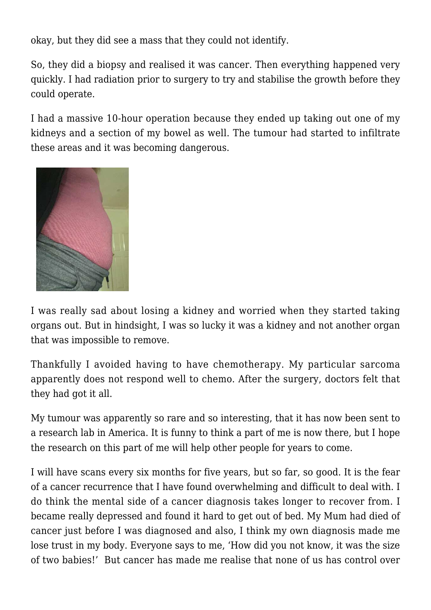okay, but they did see a mass that they could not identify.

So, they did a biopsy and realised it was cancer. Then everything happened very quickly. I had radiation prior to surgery to try and stabilise the growth before they could operate.

I had a massive 10-hour operation because they ended up taking out one of my kidneys and a section of my bowel as well. The tumour had started to infiltrate these areas and it was becoming dangerous.



I was really sad about losing a kidney and worried when they started taking organs out. But in hindsight, I was so lucky it was a kidney and not another organ that was impossible to remove.

Thankfully I avoided having to have chemotherapy. My particular sarcoma apparently does not respond well to chemo. After the surgery, doctors felt that they had got it all.

My tumour was apparently so rare and so interesting, that it has now been sent to a research lab in America. It is funny to think a part of me is now there, but I hope the research on this part of me will help other people for years to come.

I will have scans every six months for five years, but so far, so good. It is the fear of a cancer recurrence that I have found overwhelming and difficult to deal with. I do think the mental side of a cancer diagnosis takes longer to recover from. I became really depressed and found it hard to get out of bed. My Mum had died of cancer just before I was diagnosed and also, I think my own diagnosis made me lose trust in my body. Everyone says to me, 'How did you not know, it was the size of two babies!' But cancer has made me realise that none of us has control over